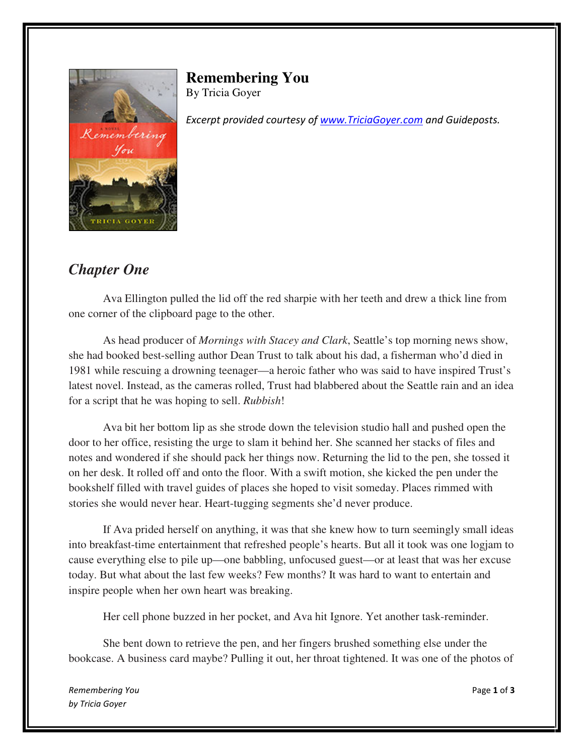

## **Remembering You**

By Tricia Goyer

Excerpt provided courtesy of www.TriciaGoyer.com and Guideposts.

## *Chapter One*

Ava Ellington pulled the lid off the red sharpie with her teeth and drew a thick line from one corner of the clipboard page to the other.

As head producer of *Mornings with Stacey and Clark*, Seattle's top morning news show, she had booked best-selling author Dean Trust to talk about his dad, a fisherman who'd died in 1981 while rescuing a drowning teenager—a heroic father who was said to have inspired Trust's latest novel. Instead, as the cameras rolled, Trust had blabbered about the Seattle rain and an idea for a script that he was hoping to sell. *Rubbish*!

Ava bit her bottom lip as she strode down the television studio hall and pushed open the door to her office, resisting the urge to slam it behind her. She scanned her stacks of files and notes and wondered if she should pack her things now. Returning the lid to the pen, she tossed it on her desk. It rolled off and onto the floor. With a swift motion, she kicked the pen under the bookshelf filled with travel guides of places she hoped to visit someday. Places rimmed with stories she would never hear. Heart-tugging segments she'd never produce.

If Ava prided herself on anything, it was that she knew how to turn seemingly small ideas into breakfast-time entertainment that refreshed people's hearts. But all it took was one logjam to cause everything else to pile up—one babbling, unfocused guest—or at least that was her excuse today. But what about the last few weeks? Few months? It was hard to want to entertain and inspire people when her own heart was breaking.

Her cell phone buzzed in her pocket, and Ava hit Ignore. Yet another task-reminder.

She bent down to retrieve the pen, and her fingers brushed something else under the bookcase. A business card maybe? Pulling it out, her throat tightened. It was one of the photos of

Remembering You **Page 1 of 3** by Tricia Goyer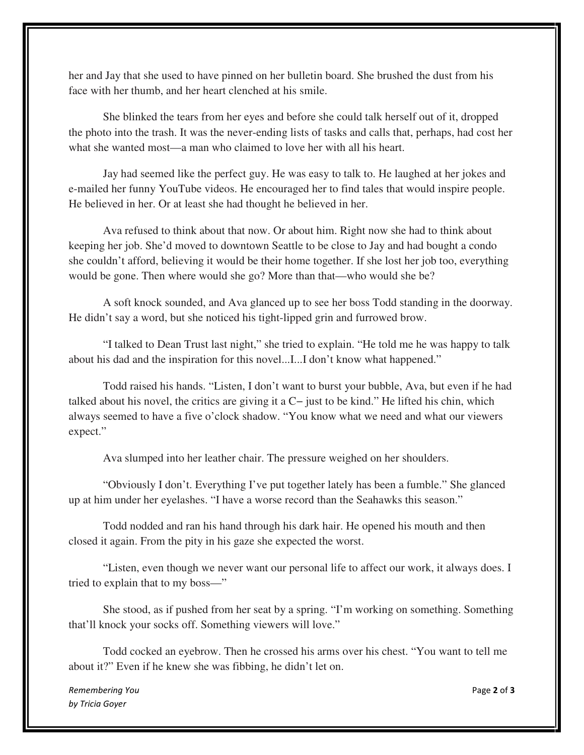her and Jay that she used to have pinned on her bulletin board. She brushed the dust from his face with her thumb, and her heart clenched at his smile.

She blinked the tears from her eyes and before she could talk herself out of it, dropped the photo into the trash. It was the never-ending lists of tasks and calls that, perhaps, had cost her what she wanted most—a man who claimed to love her with all his heart.

Jay had seemed like the perfect guy. He was easy to talk to. He laughed at her jokes and e-mailed her funny YouTube videos. He encouraged her to find tales that would inspire people. He believed in her. Or at least she had thought he believed in her.

Ava refused to think about that now. Or about him. Right now she had to think about keeping her job. She'd moved to downtown Seattle to be close to Jay and had bought a condo she couldn't afford, believing it would be their home together. If she lost her job too, everything would be gone. Then where would she go? More than that—who would she be?

A soft knock sounded, and Ava glanced up to see her boss Todd standing in the doorway. He didn't say a word, but she noticed his tight-lipped grin and furrowed brow.

"I talked to Dean Trust last night," she tried to explain. "He told me he was happy to talk about his dad and the inspiration for this novel...I...I don't know what happened."

Todd raised his hands. "Listen, I don't want to burst your bubble, Ava, but even if he had talked about his novel, the critics are giving it a C− just to be kind." He lifted his chin, which always seemed to have a five o'clock shadow. "You know what we need and what our viewers expect."

Ava slumped into her leather chair. The pressure weighed on her shoulders.

"Obviously I don't. Everything I've put together lately has been a fumble." She glanced up at him under her eyelashes. "I have a worse record than the Seahawks this season."

Todd nodded and ran his hand through his dark hair. He opened his mouth and then closed it again. From the pity in his gaze she expected the worst.

"Listen, even though we never want our personal life to affect our work, it always does. I tried to explain that to my boss—"

She stood, as if pushed from her seat by a spring. "I'm working on something. Something that'll knock your socks off. Something viewers will love."

Todd cocked an eyebrow. Then he crossed his arms over his chest. "You want to tell me about it?" Even if he knew she was fibbing, he didn't let on.

Remembering You **Page 2 of 3** by Tricia Goyer